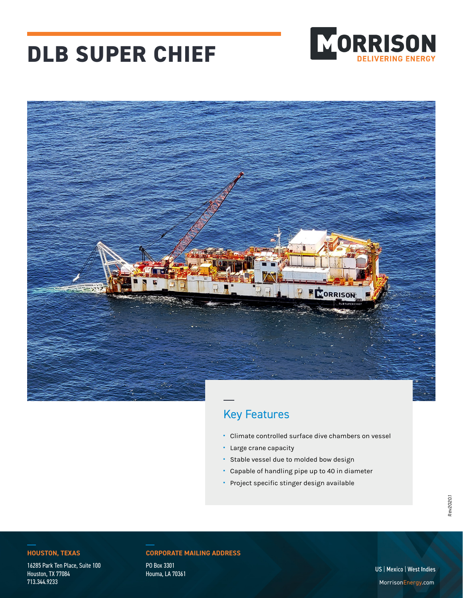# **DLB SUPER CHIEF**





## Key Features

- **·** Climate controlled surface dive chambers on vessel
- **·** Large crane capacity
- **·** Stable vessel due to molded bow design
- **·** Capable of handling pipe up to 40 in diameter
- **·** Project specific stinger design available

16285 Park Ten Place, Suite 100 Houston, TX 77084 713.344.9233

#### **HOUSTON, TEXAS CORPORATE MAILING ADDRESS**

PO Box 3301 Houma, LA 70361

US | Mexico | West Indies MorrisonEnergy.com